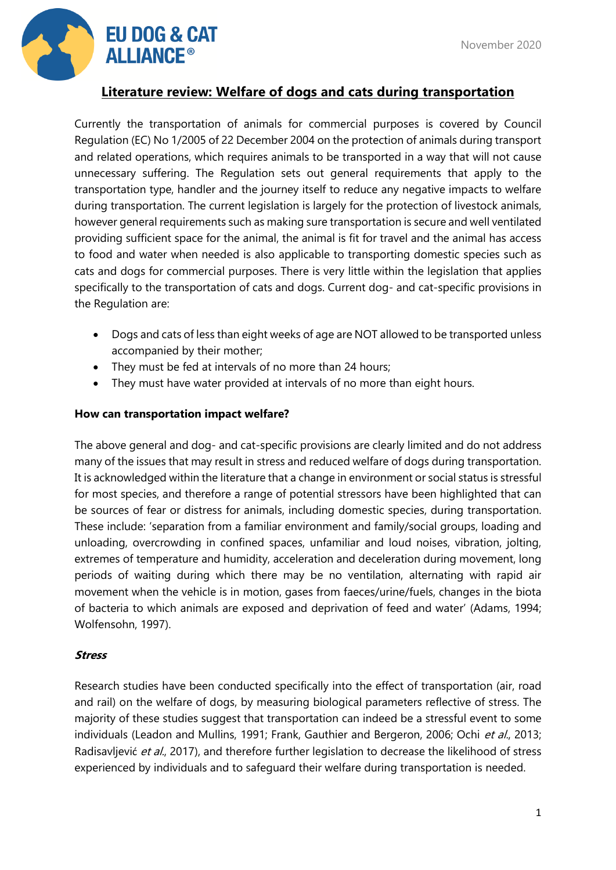

# **Literature review: Welfare of dogs and cats during transportation**

Currently the transportation of animals for commercial purposes is covered by Council Regulation (EC) No 1/2005 of 22 December 2004 on the protection of animals during transport and related operations, which requires animals to be transported in a way that will not cause unnecessary suffering. The Regulation sets out general requirements that apply to the transportation type, handler and the journey itself to reduce any negative impacts to welfare during transportation. The current legislation is largely for the protection of livestock animals, however general requirements such as making sure transportation is secure and well ventilated providing sufficient space for the animal, the animal is fit for travel and the animal has access to food and water when needed is also applicable to transporting domestic species such as cats and dogs for commercial purposes. There is very little within the legislation that applies specifically to the transportation of cats and dogs. Current dog- and cat-specific provisions in the Regulation are:

- Dogs and cats of less than eight weeks of age are NOT allowed to be transported unless accompanied by their mother;
- They must be fed at intervals of no more than 24 hours;
- They must have water provided at intervals of no more than eight hours.

## **How can transportation impact welfare?**

The above general and dog- and cat-specific provisions are clearly limited and do not address many of the issues that may result in stress and reduced welfare of dogs during transportation. It is acknowledged within the literature that a change in environment or social status is stressful for most species, and therefore a range of potential stressors have been highlighted that can be sources of fear or distress for animals, including domestic species, during transportation. These include: 'separation from a familiar environment and family/social groups, loading and unloading, overcrowding in confined spaces, unfamiliar and loud noises, vibration, jolting, extremes of temperature and humidity, acceleration and deceleration during movement, long periods of waiting during which there may be no ventilation, alternating with rapid air movement when the vehicle is in motion, gases from faeces/urine/fuels, changes in the biota of bacteria to which animals are exposed and deprivation of feed and water' (Adams, 1994; Wolfensohn, 1997).

## **Stress**

Research studies have been conducted specifically into the effect of transportation (air, road and rail) on the welfare of dogs, by measuring biological parameters reflective of stress. The majority of these studies suggest that transportation can indeed be a stressful event to some individuals (Leadon and Mullins, 1991; Frank, Gauthier and Bergeron, 2006; Ochi et al., 2013; Radisavljević et al., 2017), and therefore further legislation to decrease the likelihood of stress experienced by individuals and to safeguard their welfare during transportation is needed.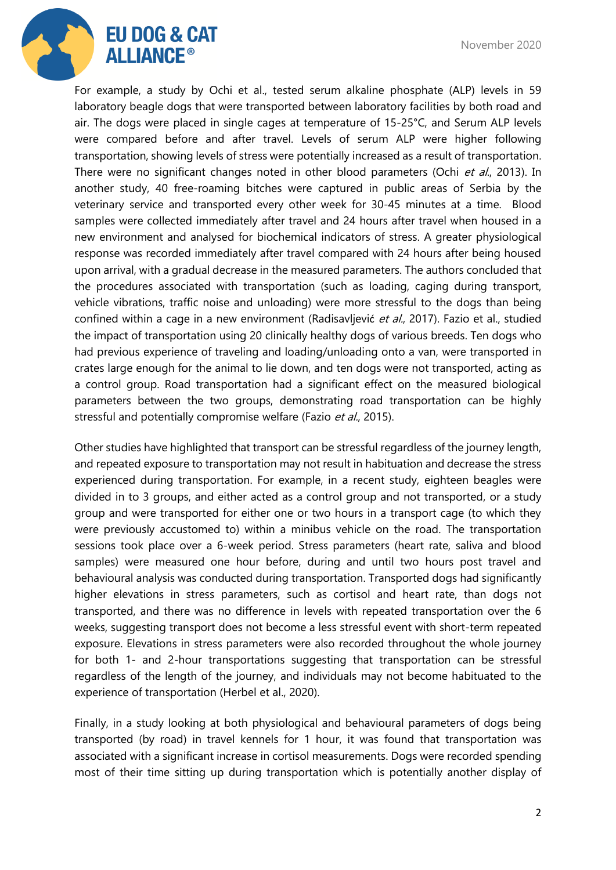

For example, a study by Ochi et al., tested serum alkaline phosphate (ALP) levels in 59 laboratory beagle dogs that were transported between laboratory facilities by both road and air. The dogs were placed in single cages at temperature of 15-25°C, and Serum ALP levels were compared before and after travel. Levels of serum ALP were higher following transportation, showing levels of stress were potentially increased as a result of transportation. There were no significant changes noted in other blood parameters (Ochi et al., 2013). In another study, 40 free-roaming bitches were captured in public areas of Serbia by the veterinary service and transported every other week for 30-45 minutes at a time. Blood samples were collected immediately after travel and 24 hours after travel when housed in a new environment and analysed for biochemical indicators of stress. A greater physiological response was recorded immediately after travel compared with 24 hours after being housed upon arrival, with a gradual decrease in the measured parameters. The authors concluded that the procedures associated with transportation (such as loading, caging during transport, vehicle vibrations, traffic noise and unloading) were more stressful to the dogs than being confined within a cage in a new environment (Radisavljević et al., 2017). Fazio et al., studied the impact of transportation using 20 clinically healthy dogs of various breeds. Ten dogs who had previous experience of traveling and loading/unloading onto a van, were transported in crates large enough for the animal to lie down, and ten dogs were not transported, acting as a control group. Road transportation had a significant effect on the measured biological parameters between the two groups, demonstrating road transportation can be highly stressful and potentially compromise welfare (Fazio et al., 2015).

Other studies have highlighted that transport can be stressful regardless of the journey length, and repeated exposure to transportation may not result in habituation and decrease the stress experienced during transportation. For example, in a recent study, eighteen beagles were divided in to 3 groups, and either acted as a control group and not transported, or a study group and were transported for either one or two hours in a transport cage (to which they were previously accustomed to) within a minibus vehicle on the road. The transportation sessions took place over a 6-week period. Stress parameters (heart rate, saliva and blood samples) were measured one hour before, during and until two hours post travel and behavioural analysis was conducted during transportation. Transported dogs had significantly higher elevations in stress parameters, such as cortisol and heart rate, than dogs not transported, and there was no difference in levels with repeated transportation over the 6 weeks, suggesting transport does not become a less stressful event with short-term repeated exposure. Elevations in stress parameters were also recorded throughout the whole journey for both 1- and 2-hour transportations suggesting that transportation can be stressful regardless of the length of the journey, and individuals may not become habituated to the experience of transportation (Herbel et al., 2020).

Finally, in a study looking at both physiological and behavioural parameters of dogs being transported (by road) in travel kennels for 1 hour, it was found that transportation was associated with a significant increase in cortisol measurements. Dogs were recorded spending most of their time sitting up during transportation which is potentially another display of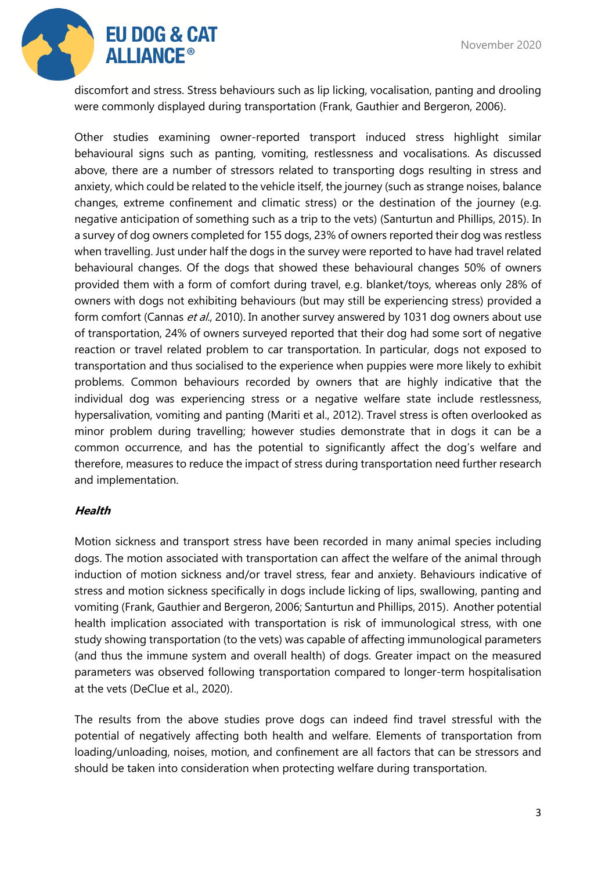

discomfort and stress. Stress behaviours such as lip licking, vocalisation, panting and drooling were commonly displayed during transportation (Frank, Gauthier and Bergeron, 2006).

Other studies examining owner-reported transport induced stress highlight similar behavioural signs such as panting, vomiting, restlessness and vocalisations. As discussed above, there are a number of stressors related to transporting dogs resulting in stress and anxiety, which could be related to the vehicle itself, the journey (such as strange noises, balance changes, extreme confinement and climatic stress) or the destination of the journey (e.g. negative anticipation of something such as a trip to the vets) (Santurtun and Phillips, 2015). In a survey of dog owners completed for 155 dogs, 23% of owners reported their dog was restless when travelling. Just under half the dogs in the survey were reported to have had travel related behavioural changes. Of the dogs that showed these behavioural changes 50% of owners provided them with a form of comfort during travel, e.g. blanket/toys, whereas only 28% of owners with dogs not exhibiting behaviours (but may still be experiencing stress) provided a form comfort (Cannas et al., 2010). In another survey answered by 1031 dog owners about use of transportation, 24% of owners surveyed reported that their dog had some sort of negative reaction or travel related problem to car transportation. In particular, dogs not exposed to transportation and thus socialised to the experience when puppies were more likely to exhibit problems. Common behaviours recorded by owners that are highly indicative that the individual dog was experiencing stress or a negative welfare state include restlessness, hypersalivation, vomiting and panting (Mariti et al., 2012). Travel stress is often overlooked as minor problem during travelling; however studies demonstrate that in dogs it can be a common occurrence, and has the potential to significantly affect the dog's welfare and therefore, measures to reduce the impact of stress during transportation need further research and implementation.

## **Health**

Motion sickness and transport stress have been recorded in many animal species including dogs. The motion associated with transportation can affect the welfare of the animal through induction of motion sickness and/or travel stress, fear and anxiety. Behaviours indicative of stress and motion sickness specifically in dogs include licking of lips, swallowing, panting and vomiting (Frank, Gauthier and Bergeron, 2006; Santurtun and Phillips, 2015). Another potential health implication associated with transportation is risk of immunological stress, with one study showing transportation (to the vets) was capable of affecting immunological parameters (and thus the immune system and overall health) of dogs. Greater impact on the measured parameters was observed following transportation compared to longer-term hospitalisation at the vets (DeClue et al., 2020).

The results from the above studies prove dogs can indeed find travel stressful with the potential of negatively affecting both health and welfare. Elements of transportation from loading/unloading, noises, motion, and confinement are all factors that can be stressors and should be taken into consideration when protecting welfare during transportation.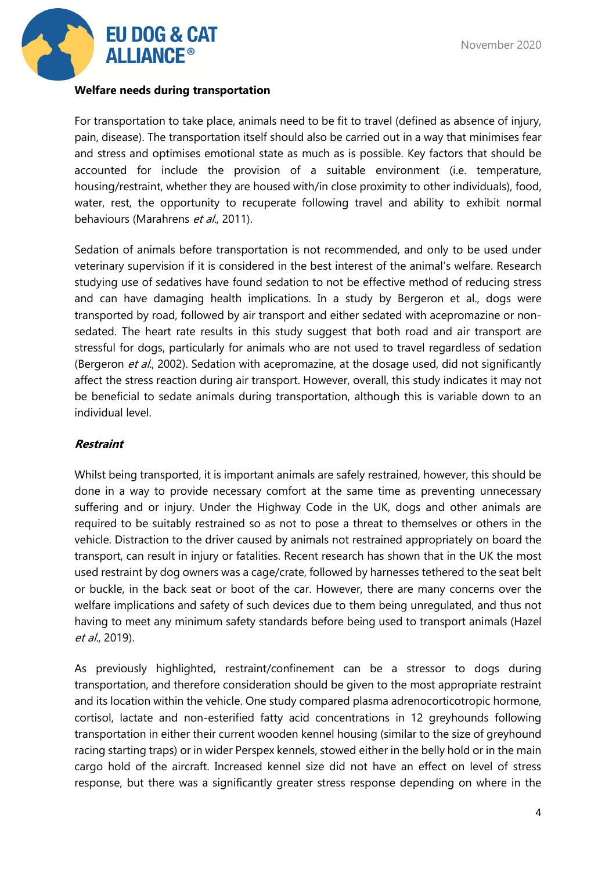

#### **Welfare needs during transportation**

For transportation to take place, animals need to be fit to travel (defined as absence of injury, pain, disease). The transportation itself should also be carried out in a way that minimises fear and stress and optimises emotional state as much as is possible. Key factors that should be accounted for include the provision of a suitable environment (i.e. temperature, housing/restraint, whether they are housed with/in close proximity to other individuals), food, water, rest, the opportunity to recuperate following travel and ability to exhibit normal behaviours (Marahrens et al., 2011).

Sedation of animals before transportation is not recommended, and only to be used under veterinary supervision if it is considered in the best interest of the animal's welfare. Research studying use of sedatives have found sedation to not be effective method of reducing stress and can have damaging health implications. In a study by Bergeron et al., dogs were transported by road, followed by air transport and either sedated with acepromazine or nonsedated. The heart rate results in this study suggest that both road and air transport are stressful for dogs, particularly for animals who are not used to travel regardless of sedation (Bergeron et al., 2002). Sedation with acepromazine, at the dosage used, did not significantly affect the stress reaction during air transport. However, overall, this study indicates it may not be beneficial to sedate animals during transportation, although this is variable down to an individual level.

## **Restraint**

Whilst being transported, it is important animals are safely restrained, however, this should be done in a way to provide necessary comfort at the same time as preventing unnecessary suffering and or injury. Under the Highway Code in the UK, dogs and other animals are required to be suitably restrained so as not to pose a threat to themselves or others in the vehicle. Distraction to the driver caused by animals not restrained appropriately on board the transport, can result in injury or fatalities. Recent research has shown that in the UK the most used restraint by dog owners was a cage/crate, followed by harnesses tethered to the seat belt or buckle, in the back seat or boot of the car. However, there are many concerns over the welfare implications and safety of such devices due to them being unregulated, and thus not having to meet any minimum safety standards before being used to transport animals (Hazel et al., 2019).

As previously highlighted, restraint/confinement can be a stressor to dogs during transportation, and therefore consideration should be given to the most appropriate restraint and its location within the vehicle. One study compared plasma adrenocorticotropic hormone, cortisol, lactate and non-esterified fatty acid concentrations in 12 greyhounds following transportation in either their current wooden kennel housing (similar to the size of greyhound racing starting traps) or in wider Perspex kennels, stowed either in the belly hold or in the main cargo hold of the aircraft. Increased kennel size did not have an effect on level of stress response, but there was a significantly greater stress response depending on where in the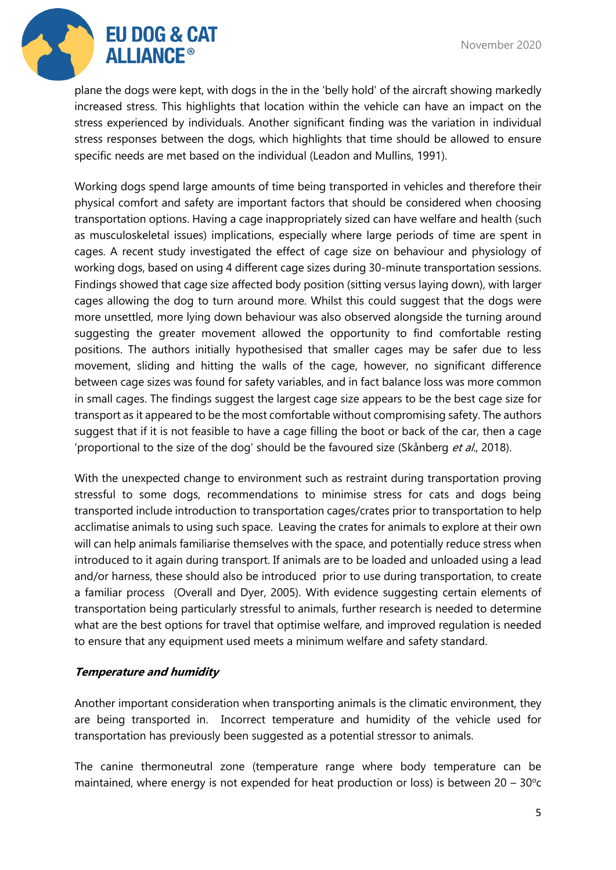

plane the dogs were kept, with dogs in the in the 'belly hold' of the aircraft showing markedly increased stress. This highlights that location within the vehicle can have an impact on the stress experienced by individuals. Another significant finding was the variation in individual stress responses between the dogs, which highlights that time should be allowed to ensure specific needs are met based on the individual (Leadon and Mullins, 1991).

Working dogs spend large amounts of time being transported in vehicles and therefore their physical comfort and safety are important factors that should be considered when choosing transportation options. Having a cage inappropriately sized can have welfare and health (such as musculoskeletal issues) implications, especially where large periods of time are spent in cages. A recent study investigated the effect of cage size on behaviour and physiology of working dogs, based on using 4 different cage sizes during 30-minute transportation sessions. Findings showed that cage size affected body position (sitting versus laying down), with larger cages allowing the dog to turn around more. Whilst this could suggest that the dogs were more unsettled, more lying down behaviour was also observed alongside the turning around suggesting the greater movement allowed the opportunity to find comfortable resting positions. The authors initially hypothesised that smaller cages may be safer due to less movement, sliding and hitting the walls of the cage, however, no significant difference between cage sizes was found for safety variables, and in fact balance loss was more common in small cages. The findings suggest the largest cage size appears to be the best cage size for transport as it appeared to be the most comfortable without compromising safety. The authors suggest that if it is not feasible to have a cage filling the boot or back of the car, then a cage 'proportional to the size of the dog' should be the favoured size (Skånberg et al., 2018).

With the unexpected change to environment such as restraint during transportation proving stressful to some dogs, recommendations to minimise stress for cats and dogs being transported include introduction to transportation cages/crates prior to transportation to help acclimatise animals to using such space. Leaving the crates for animals to explore at their own will can help animals familiarise themselves with the space, and potentially reduce stress when introduced to it again during transport. If animals are to be loaded and unloaded using a lead and/or harness, these should also be introduced prior to use during transportation, to create a familiar process (Overall and Dyer, 2005). With evidence suggesting certain elements of transportation being particularly stressful to animals, further research is needed to determine what are the best options for travel that optimise welfare, and improved regulation is needed to ensure that any equipment used meets a minimum welfare and safety standard.

## **Temperature and humidity**

Another important consideration when transporting animals is the climatic environment, they are being transported in. Incorrect temperature and humidity of the vehicle used for transportation has previously been suggested as a potential stressor to animals.

The canine thermoneutral zone (temperature range where body temperature can be maintained, where energy is not expended for heat production or loss) is between  $20 - 30^{\circ}c$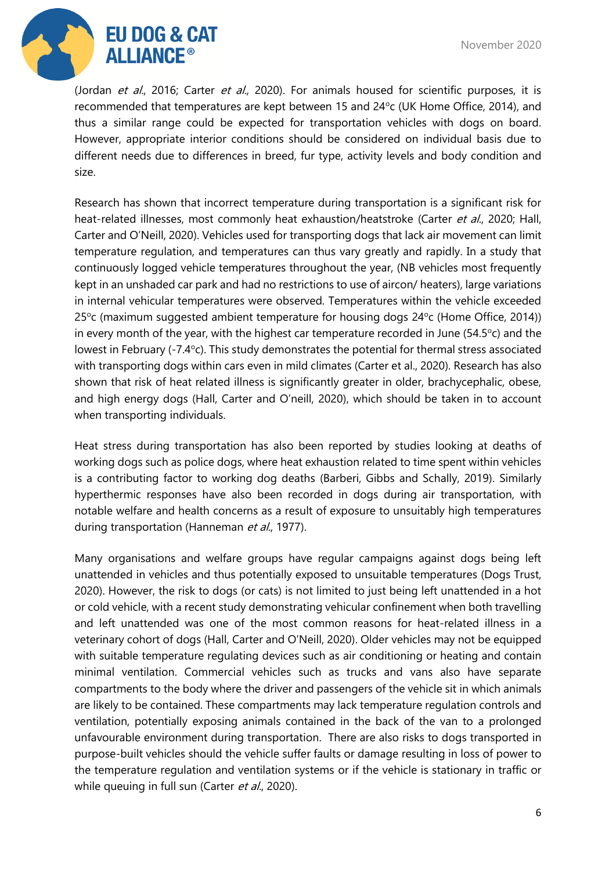

(Jordan et al., 2016; Carter et al., 2020). For animals housed for scientific purposes, it is recommended that temperatures are kept between 15 and 24°c (UK Home Office, 2014), and thus a similar range could be expected for transportation vehicles with dogs on board. However, appropriate interior conditions should be considered on individual basis due to different needs due to differences in breed, fur type, activity levels and body condition and size.

Research has shown that incorrect temperature during transportation is a significant risk for heat-related illnesses, most commonly heat exhaustion/heatstroke (Carter et al., 2020; Hall, Carter and O'Neill, 2020). Vehicles used for transporting dogs that lack air movement can limit temperature regulation, and temperatures can thus vary greatly and rapidly. In a study that continuously logged vehicle temperatures throughout the year, (NB vehicles most frequently kept in an unshaded car park and had no restrictions to use of aircon/ heaters), large variations in internal vehicular temperatures were observed. Temperatures within the vehicle exceeded 25<sup>o</sup>c (maximum suggested ambient temperature for housing dogs 24<sup>o</sup>c (Home Office, 2014)) in every month of the year, with the highest car temperature recorded in June (54.5 $\degree$ c) and the lowest in February (-7.4°c). This study demonstrates the potential for thermal stress associated with transporting dogs within cars even in mild climates (Carter et al., 2020). Research has also shown that risk of heat related illness is significantly greater in older, brachycephalic, obese, and high energy dogs (Hall, Carter and O'neill, 2020), which should be taken in to account when transporting individuals.

Heat stress during transportation has also been reported by studies looking at deaths of working dogs such as police dogs, where heat exhaustion related to time spent within vehicles is a contributing factor to working dog deaths (Barberi, Gibbs and Schally, 2019). Similarly hyperthermic responses have also been recorded in dogs during air transportation, with notable welfare and health concerns as a result of exposure to unsuitably high temperatures during transportation (Hanneman et al., 1977).

Many organisations and welfare groups have regular campaigns against dogs being left unattended in vehicles and thus potentially exposed to unsuitable temperatures (Dogs Trust, 2020). However, the risk to dogs (or cats) is not limited to just being left unattended in a hot or cold vehicle, with a recent study demonstrating vehicular confinement when both travelling and left unattended was one of the most common reasons for heat-related illness in a veterinary cohort of dogs (Hall, Carter and O'Neill, 2020). Older vehicles may not be equipped with suitable temperature regulating devices such as air conditioning or heating and contain minimal ventilation. Commercial vehicles such as trucks and vans also have separate compartments to the body where the driver and passengers of the vehicle sit in which animals are likely to be contained. These compartments may lack temperature regulation controls and ventilation, potentially exposing animals contained in the back of the van to a prolonged unfavourable environment during transportation. There are also risks to dogs transported in purpose-built vehicles should the vehicle suffer faults or damage resulting in loss of power to the temperature regulation and ventilation systems or if the vehicle is stationary in traffic or while queuing in full sun (Carter et al., 2020).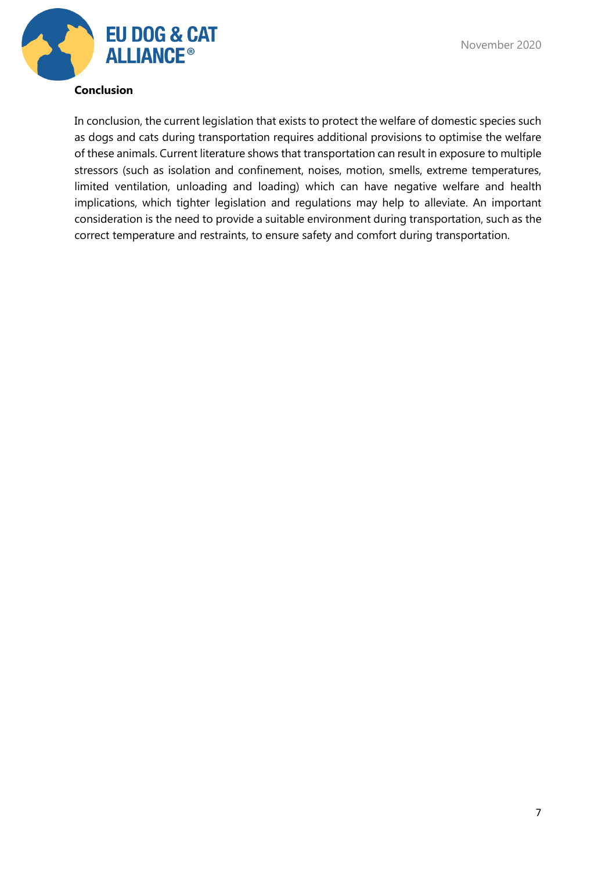**EU DOG & CAT ALLIANCE<sup>®</sup>** 

In conclusion, the current legislation that exists to protect the welfare of domestic species such as dogs and cats during transportation requires additional provisions to optimise the welfare of these animals. Current literature shows that transportation can result in exposure to multiple stressors (such as isolation and confinement, noises, motion, smells, extreme temperatures, limited ventilation, unloading and loading) which can have negative welfare and health implications, which tighter legislation and regulations may help to alleviate. An important consideration is the need to provide a suitable environment during transportation, such as the correct temperature and restraints, to ensure safety and comfort during transportation.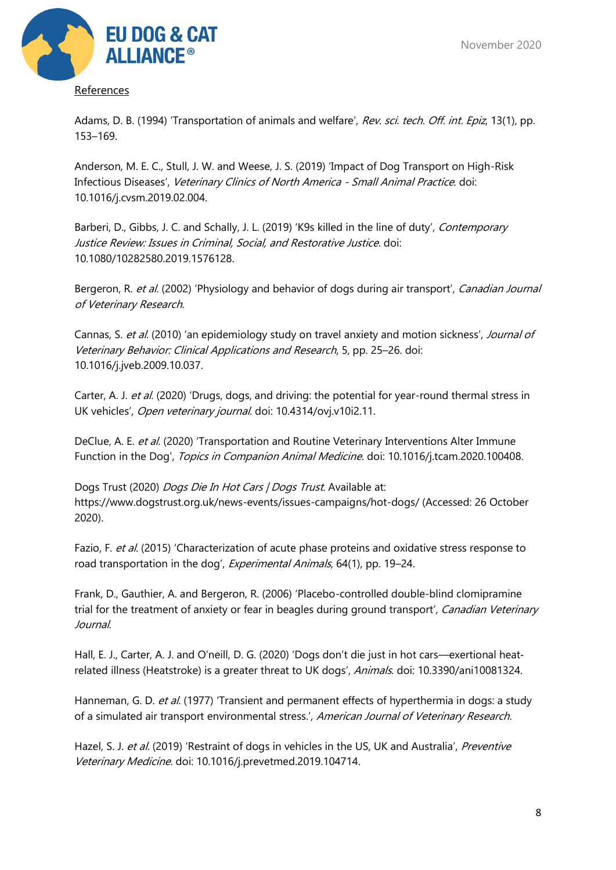

References

Adams, D. B. (1994) 'Transportation of animals and welfare', Rev. sci. tech. Off. int. Epiz, 13(1), pp. 153–169.

Anderson, M. E. C., Stull, J. W. and Weese, J. S. (2019) 'Impact of Dog Transport on High-Risk Infectious Diseases', Veterinary Clinics of North America - Small Animal Practice. doi: 10.1016/j.cvsm.2019.02.004.

Barberi, D., Gibbs, J. C. and Schally, J. L. (2019) 'K9s killed in the line of duty', Contemporary Justice Review: Issues in Criminal, Social, and Restorative Justice. doi: 10.1080/10282580.2019.1576128.

Bergeron, R. et al. (2002) 'Physiology and behavior of dogs during air transport', *Canadian Journal* of Veterinary Research.

Cannas, S. et al. (2010) 'an epidemiology study on travel anxiety and motion sickness', Journal of Veterinary Behavior: Clinical Applications and Research, 5, pp. 25–26. doi: 10.1016/j.jveb.2009.10.037.

Carter, A. J. et al. (2020) 'Drugs, dogs, and driving: the potential for year-round thermal stress in UK vehicles', Open veterinary journal. doi: 10.4314/ovj.v10i2.11.

DeClue, A. E. et al. (2020) 'Transportation and Routine Veterinary Interventions Alter Immune Function in the Dog', Topics in Companion Animal Medicine. doi: 10.1016/j.tcam.2020.100408.

Dogs Trust (2020) Dogs Die In Hot Cars | Dogs Trust. Available at: https://www.dogstrust.org.uk/news-events/issues-campaigns/hot-dogs/ (Accessed: 26 October 2020).

Fazio, F. et al. (2015) 'Characterization of acute phase proteins and oxidative stress response to road transportation in the dog', Experimental Animals, 64(1), pp. 19–24.

Frank, D., Gauthier, A. and Bergeron, R. (2006) 'Placebo-controlled double-blind clomipramine trial for the treatment of anxiety or fear in beagles during ground transport', Canadian Veterinary Journal.

Hall, E. J., Carter, A. J. and O'neill, D. G. (2020) 'Dogs don't die just in hot cars—exertional heat‐ related illness (Heatstroke) is a greater threat to UK dogs', Animals. doi: 10.3390/ani10081324.

Hanneman, G. D. et al. (1977) 'Transient and permanent effects of hyperthermia in dogs: a study of a simulated air transport environmental stress.', American Journal of Veterinary Research.

Hazel, S. J. et al. (2019) 'Restraint of dogs in vehicles in the US, UK and Australia', Preventive Veterinary Medicine. doi: 10.1016/j.prevetmed.2019.104714.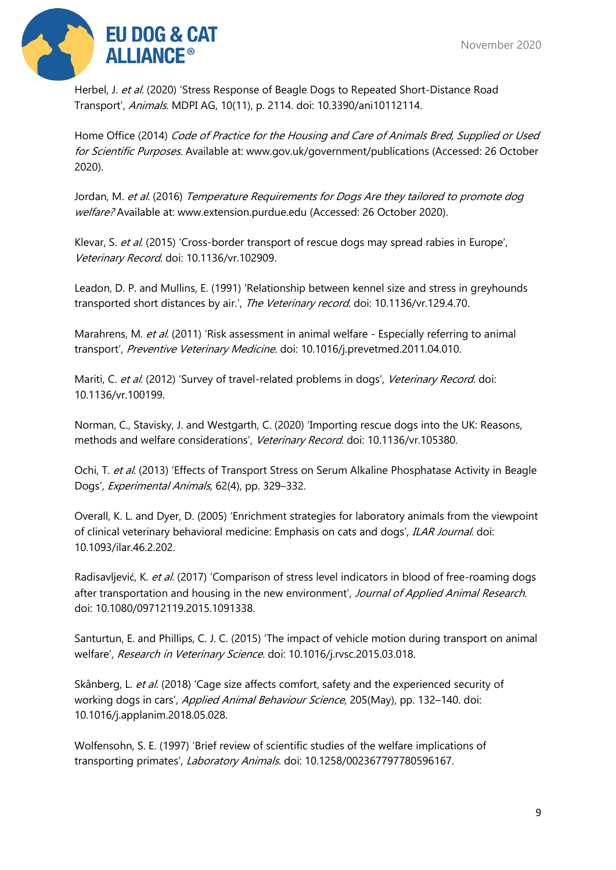

Herbel, J. et al. (2020) 'Stress Response of Beagle Dogs to Repeated Short-Distance Road Transport', Animals. MDPI AG, 10(11), p. 2114. doi: 10.3390/ani10112114.

Home Office (2014) Code of Practice for the Housing and Care of Animals Bred, Supplied or Used for Scientific Purposes. Available at: www.gov.uk/government/publications (Accessed: 26 October 2020).

Jordan, M. et al. (2016) Temperature Requirements for Dogs Are they tailored to promote dog welfare? Available at: www.extension.purdue.edu (Accessed: 26 October 2020).

Klevar, S. et al. (2015) 'Cross-border transport of rescue dogs may spread rabies in Europe', Veterinary Record. doi: 10.1136/vr.102909.

Leadon, D. P. and Mullins, E. (1991) 'Relationship between kennel size and stress in greyhounds transported short distances by air.', The Veterinary record. doi: 10.1136/vr.129.4.70.

Marahrens, M. et al. (2011) 'Risk assessment in animal welfare - Especially referring to animal transport', Preventive Veterinary Medicine. doi: 10.1016/j.prevetmed.2011.04.010.

Mariti, C. et al. (2012) 'Survey of travel-related problems in dogs', Veterinary Record. doi: 10.1136/vr.100199.

Norman, C., Stavisky, J. and Westgarth, C. (2020) 'Importing rescue dogs into the UK: Reasons, methods and welfare considerations', Veterinary Record. doi: 10.1136/vr.105380.

Ochi, T. et al. (2013) 'Effects of Transport Stress on Serum Alkaline Phosphatase Activity in Beagle Dogs', Experimental Animals, 62(4), pp. 329–332.

Overall, K. L. and Dyer, D. (2005) 'Enrichment strategies for laboratory animals from the viewpoint of clinical veterinary behavioral medicine: Emphasis on cats and dogs', ILAR Journal. doi: 10.1093/ilar.46.2.202.

Radisavljević, K. et al. (2017) 'Comparison of stress level indicators in blood of free-roaming dogs after transportation and housing in the new environment', Journal of Applied Animal Research. doi: 10.1080/09712119.2015.1091338.

Santurtun, E. and Phillips, C. J. C. (2015) 'The impact of vehicle motion during transport on animal welfare', Research in Veterinary Science. doi: 10.1016/j.rvsc.2015.03.018.

Skånberg, L. et al. (2018) 'Cage size affects comfort, safety and the experienced security of working dogs in cars', Applied Animal Behaviour Science, 205(May), pp. 132–140. doi: 10.1016/j.applanim.2018.05.028.

Wolfensohn, S. E. (1997) 'Brief review of scientific studies of the welfare implications of transporting primates', Laboratory Animals. doi: 10.1258/002367797780596167.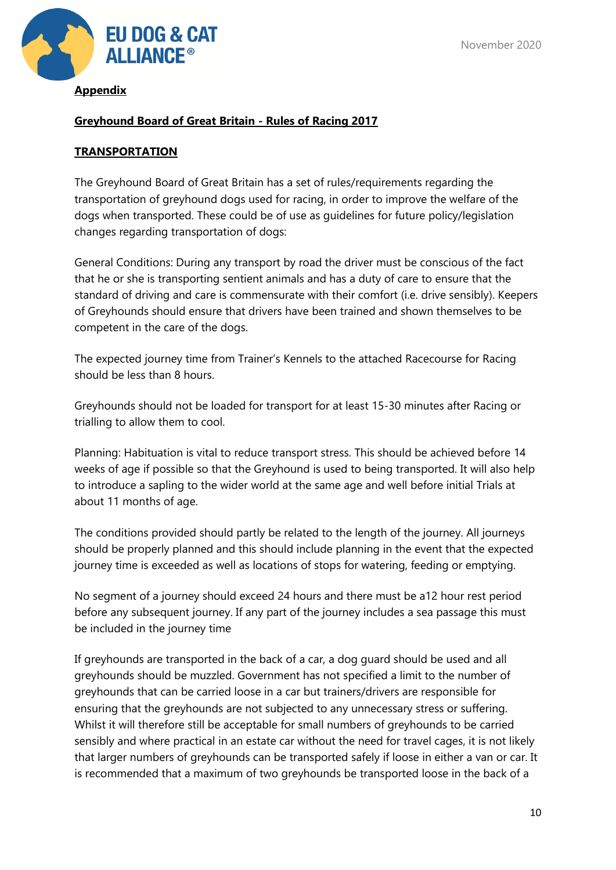

#### **Appendix**

## **Greyhound Board of Great Britain - Rules of Racing 2017**

#### **TRANSPORTATION**

The Greyhound Board of Great Britain has a set of rules/requirements regarding the transportation of greyhound dogs used for racing, in order to improve the welfare of the dogs when transported. These could be of use as guidelines for future policy/legislation changes regarding transportation of dogs:

General Conditions: During any transport by road the driver must be conscious of the fact that he or she is transporting sentient animals and has a duty of care to ensure that the standard of driving and care is commensurate with their comfort (i.e. drive sensibly). Keepers of Greyhounds should ensure that drivers have been trained and shown themselves to be competent in the care of the dogs.

The expected journey time from Trainer's Kennels to the attached Racecourse for Racing should be less than 8 hours.

Greyhounds should not be loaded for transport for at least 15-30 minutes after Racing or trialling to allow them to cool.

Planning: Habituation is vital to reduce transport stress. This should be achieved before 14 weeks of age if possible so that the Greyhound is used to being transported. It will also help to introduce a sapling to the wider world at the same age and well before initial Trials at about 11 months of age.

The conditions provided should partly be related to the length of the journey. All journeys should be properly planned and this should include planning in the event that the expected journey time is exceeded as well as locations of stops for watering, feeding or emptying.

No segment of a journey should exceed 24 hours and there must be a12 hour rest period before any subsequent journey. If any part of the journey includes a sea passage this must be included in the journey time

If greyhounds are transported in the back of a car, a dog guard should be used and all greyhounds should be muzzled. Government has not specified a limit to the number of greyhounds that can be carried loose in a car but trainers/drivers are responsible for ensuring that the greyhounds are not subjected to any unnecessary stress or suffering. Whilst it will therefore still be acceptable for small numbers of greyhounds to be carried sensibly and where practical in an estate car without the need for travel cages, it is not likely that larger numbers of greyhounds can be transported safely if loose in either a van or car. It is recommended that a maximum of two greyhounds be transported loose in the back of a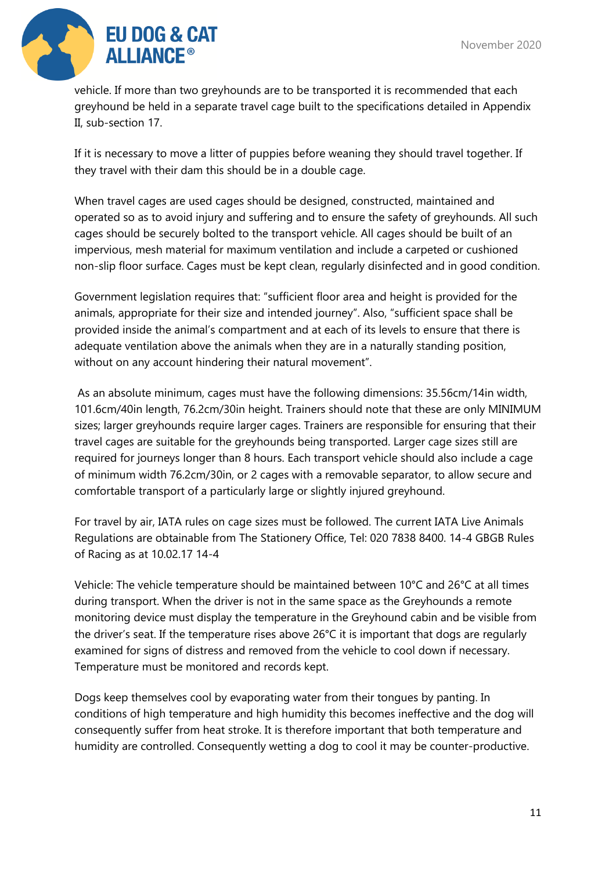

vehicle. If more than two greyhounds are to be transported it is recommended that each greyhound be held in a separate travel cage built to the specifications detailed in Appendix II, sub-section 17.

If it is necessary to move a litter of puppies before weaning they should travel together. If they travel with their dam this should be in a double cage.

When travel cages are used cages should be designed, constructed, maintained and operated so as to avoid injury and suffering and to ensure the safety of greyhounds. All such cages should be securely bolted to the transport vehicle. All cages should be built of an impervious, mesh material for maximum ventilation and include a carpeted or cushioned non-slip floor surface. Cages must be kept clean, regularly disinfected and in good condition.

Government legislation requires that: "sufficient floor area and height is provided for the animals, appropriate for their size and intended journey". Also, "sufficient space shall be provided inside the animal's compartment and at each of its levels to ensure that there is adequate ventilation above the animals when they are in a naturally standing position, without on any account hindering their natural movement".

As an absolute minimum, cages must have the following dimensions: 35.56cm/14in width, 101.6cm/40in length, 76.2cm/30in height. Trainers should note that these are only MINIMUM sizes; larger greyhounds require larger cages. Trainers are responsible for ensuring that their travel cages are suitable for the greyhounds being transported. Larger cage sizes still are required for journeys longer than 8 hours. Each transport vehicle should also include a cage of minimum width 76.2cm/30in, or 2 cages with a removable separator, to allow secure and comfortable transport of a particularly large or slightly injured greyhound.

For travel by air, IATA rules on cage sizes must be followed. The current IATA Live Animals Regulations are obtainable from The Stationery Office, Tel: 020 7838 8400. 14-4 GBGB Rules of Racing as at 10.02.17 14-4

Vehicle: The vehicle temperature should be maintained between 10°C and 26°C at all times during transport. When the driver is not in the same space as the Greyhounds a remote monitoring device must display the temperature in the Greyhound cabin and be visible from the driver's seat. If the temperature rises above 26°C it is important that dogs are regularly examined for signs of distress and removed from the vehicle to cool down if necessary. Temperature must be monitored and records kept.

Dogs keep themselves cool by evaporating water from their tongues by panting. In conditions of high temperature and high humidity this becomes ineffective and the dog will consequently suffer from heat stroke. It is therefore important that both temperature and humidity are controlled. Consequently wetting a dog to cool it may be counter-productive.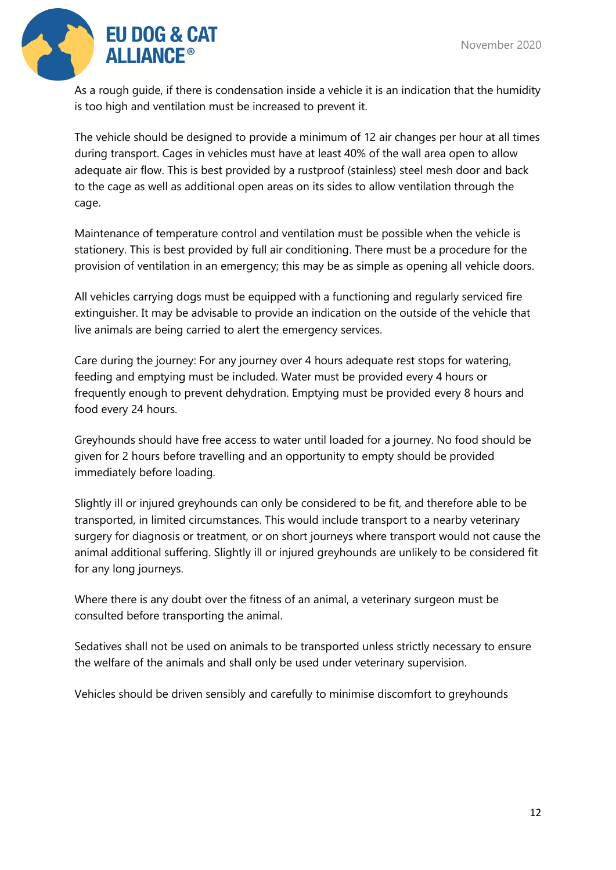

As a rough guide, if there is condensation inside a vehicle it is an indication that the humidity is too high and ventilation must be increased to prevent it.

The vehicle should be designed to provide a minimum of 12 air changes per hour at all times during transport. Cages in vehicles must have at least 40% of the wall area open to allow adequate air flow. This is best provided by a rustproof (stainless) steel mesh door and back to the cage as well as additional open areas on its sides to allow ventilation through the cage.

Maintenance of temperature control and ventilation must be possible when the vehicle is stationery. This is best provided by full air conditioning. There must be a procedure for the provision of ventilation in an emergency; this may be as simple as opening all vehicle doors.

All vehicles carrying dogs must be equipped with a functioning and regularly serviced fire extinguisher. It may be advisable to provide an indication on the outside of the vehicle that live animals are being carried to alert the emergency services.

Care during the journey: For any journey over 4 hours adequate rest stops for watering, feeding and emptying must be included. Water must be provided every 4 hours or frequently enough to prevent dehydration. Emptying must be provided every 8 hours and food every 24 hours.

Greyhounds should have free access to water until loaded for a journey. No food should be given for 2 hours before travelling and an opportunity to empty should be provided immediately before loading.

Slightly ill or injured greyhounds can only be considered to be fit, and therefore able to be transported, in limited circumstances. This would include transport to a nearby veterinary surgery for diagnosis or treatment, or on short journeys where transport would not cause the animal additional suffering. Slightly ill or injured greyhounds are unlikely to be considered fit for any long journeys.

Where there is any doubt over the fitness of an animal, a veterinary surgeon must be consulted before transporting the animal.

Sedatives shall not be used on animals to be transported unless strictly necessary to ensure the welfare of the animals and shall only be used under veterinary supervision.

Vehicles should be driven sensibly and carefully to minimise discomfort to greyhounds